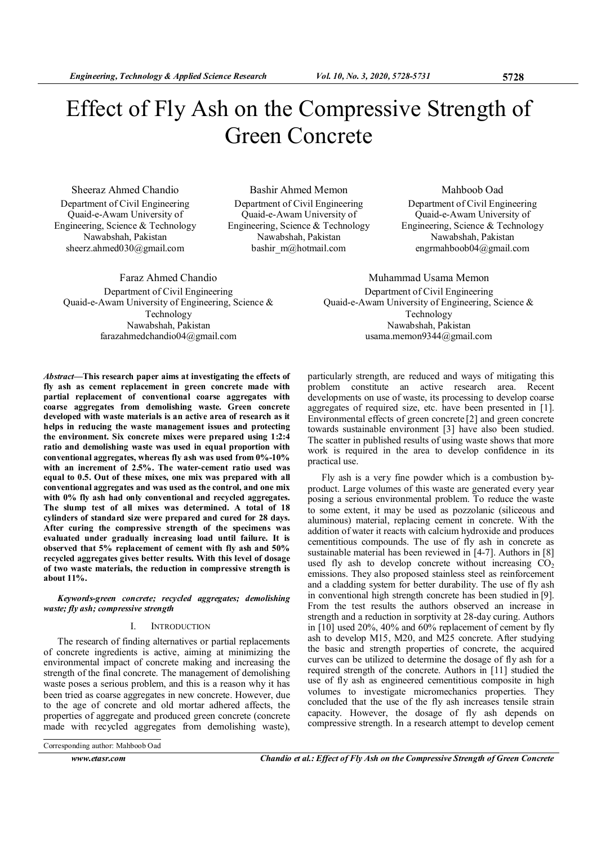# Effect of Fly Ash on the Compressive Strength of Green Concrete

Sheeraz Ahmed Chandio Department of Civil Engineering Quaid-e-Awam University of Engineering, Science & Technology Nawabshah, Pakistan sheerz.ahmed030@gmail.com

Bashir Ahmed Memon Department of Civil Engineering Quaid-e-Awam University of Engineering, Science & Technology Nawabshah, Pakistan bashir\_m@hotmail.com

Mahboob Oad Department of Civil Engineering Quaid-e-Awam University of Engineering, Science & Technology Nawabshah, Pakistan engrmahboob04@gmail.com

Faraz Ahmed Chandio Department of Civil Engineering Quaid-e-Awam University of Engineering, Science & Technology Nawabshah, Pakistan farazahmedchandio04@gmail.com

Muhammad Usama Memon Department of Civil Engineering Quaid-e-Awam University of Engineering, Science & Technology Nawabshah, Pakistan usama.memon9344@gmail.com

Abstract—This research paper aims at investigating the effects of fly ash as cement replacement in green concrete made with partial replacement of conventional coarse aggregates with coarse aggregates from demolishing waste. Green concrete developed with waste materials is an active area of research as it helps in reducing the waste management issues and protecting the environment. Six concrete mixes were prepared using 1:2:4 ratio and demolishing waste was used in equal proportion with conventional aggregates, whereas fly ash was used from 0%-10% with an increment of 2.5%. The water-cement ratio used was equal to 0.5. Out of these mixes, one mix was prepared with all conventional aggregates and was used as the control, and one mix with 0% fly ash had only conventional and recycled aggregates. The slump test of all mixes was determined. A total of 18 cylinders of standard size were prepared and cured for 28 days. After curing the compressive strength of the specimens was evaluated under gradually increasing load until failure. It is observed that 5% replacement of cement with fly ash and 50% recycled aggregates gives better results. With this level of dosage of two waste materials, the reduction in compressive strength is about 11%.

Keywords-green concrete; recycled aggregates; demolishing waste; fly ash; compressive strength

#### I. INTRODUCTION

The research of finding alternatives or partial replacements of concrete ingredients is active, aiming at minimizing the environmental impact of concrete making and increasing the strength of the final concrete. The management of demolishing waste poses a serious problem, and this is a reason why it has been tried as coarse aggregates in new concrete. However, due to the age of concrete and old mortar adhered affects, the properties of aggregate and produced green concrete (concrete made with recycled aggregates from demolishing waste),

Corresponding author: Mahboob Oad

www.etasr.com Chandio et al.: Effect of Fly Ash on the Compressive Strength of Green Concrete

particularly strength, are reduced and ways of mitigating this problem constitute an active research area. Recent developments on use of waste, its processing to develop coarse aggregates of required size, etc. have been presented in [1]. Environmental effects of green concrete [2] and green concrete towards sustainable environment [3] have also been studied. The scatter in published results of using waste shows that more work is required in the area to develop confidence in its practical use.

Fly ash is a very fine powder which is a combustion byproduct. Large volumes of this waste are generated every year posing a serious environmental problem. To reduce the waste to some extent, it may be used as pozzolanic (siliceous and aluminous) material, replacing cement in concrete. With the addition of water it reacts with calcium hydroxide and produces cementitious compounds. The use of fly ash in concrete as sustainable material has been reviewed in [4-7]. Authors in [8] used fly ash to develop concrete without increasing  $CO<sub>2</sub>$ emissions. They also proposed stainless steel as reinforcement and a cladding system for better durability. The use of fly ash in conventional high strength concrete has been studied in [9]. From the test results the authors observed an increase in strength and a reduction in sorptivity at 28-day curing. Authors in [10] used 20%, 40% and 60% replacement of cement by fly ash to develop M15, M20, and M25 concrete. After studying the basic and strength properties of concrete, the acquired curves can be utilized to determine the dosage of fly ash for a required strength of the concrete. Authors in [11] studied the use of fly ash as engineered cementitious composite in high volumes to investigate micromechanics properties. They concluded that the use of the fly ash increases tensile strain capacity. However, the dosage of fly ash depends on compressive strength. In a research attempt to develop cement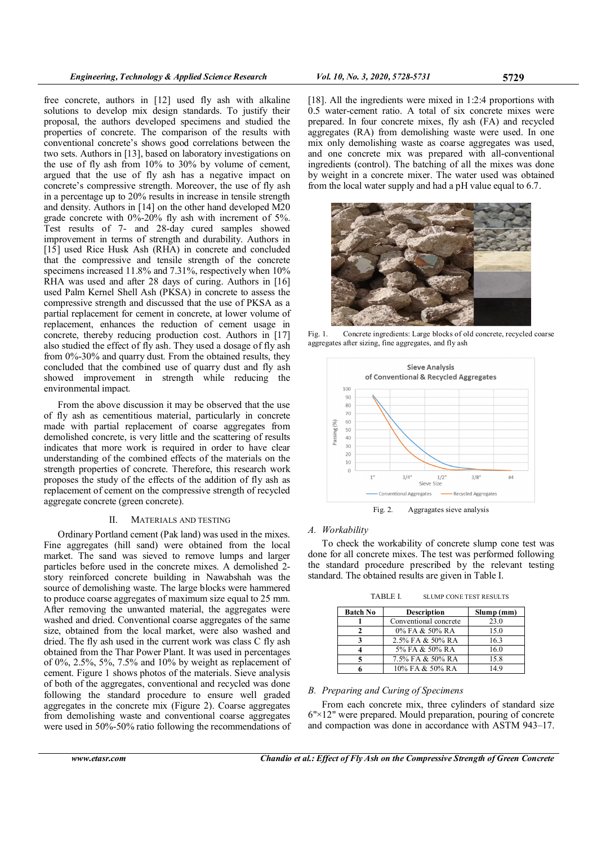free concrete, authors in [12] used fly ash with alkaline solutions to develop mix design standards. To justify their proposal, the authors developed specimens and studied the properties of concrete. The comparison of the results with conventional concrete's shows good correlations between the two sets. Authors in [13], based on laboratory investigations on the use of fly ash from 10% to 30% by volume of cement, argued that the use of fly ash has a negative impact on concrete's compressive strength. Moreover, the use of fly ash in a percentage up to 20% results in increase in tensile strength and density. Authors in [14] on the other hand developed M20 grade concrete with  $0\%$ -20% fly ash with increment of 5%. Test results of 7- and 28-day cured samples showed improvement in terms of strength and durability. Authors in [15] used Rice Husk Ash (RHA) in concrete and concluded that the compressive and tensile strength of the concrete specimens increased 11.8% and 7.31%, respectively when 10% RHA was used and after 28 days of curing. Authors in [16] used Palm Kernel Shell Ash (PKSA) in concrete to assess the compressive strength and discussed that the use of PKSA as a partial replacement for cement in concrete, at lower volume of replacement, enhances the reduction of cement usage in concrete, thereby reducing production cost. Authors in [17] also studied the effect of fly ash. They used a dosage of fly ash from 0%-30% and quarry dust. From the obtained results, they concluded that the combined use of quarry dust and fly ash showed improvement in strength while reducing the environmental impact.

From the above discussion it may be observed that the use of fly ash as cementitious material, particularly in concrete made with partial replacement of coarse aggregates from demolished concrete, is very little and the scattering of results indicates that more work is required in order to have clear understanding of the combined effects of the materials on the strength properties of concrete. Therefore, this research work proposes the study of the effects of the addition of fly ash as replacement of cement on the compressive strength of recycled aggregate concrete (green concrete).

#### II. MATERIALS AND TESTING

Ordinary Portland cement (Pak land) was used in the mixes. Fine aggregates (hill sand) were obtained from the local market. The sand was sieved to remove lumps and larger particles before used in the concrete mixes. A demolished 2 story reinforced concrete building in Nawabshah was the source of demolishing waste. The large blocks were hammered to produce coarse aggregates of maximum size equal to 25 mm. After removing the unwanted material, the aggregates were washed and dried. Conventional coarse aggregates of the same size, obtained from the local market, were also washed and dried. The fly ash used in the current work was class C fly ash obtained from the Thar Power Plant. It was used in percentages of 0%, 2.5%, 5%, 7.5% and 10% by weight as replacement of cement. Figure 1 shows photos of the materials. Sieve analysis of both of the aggregates, conventional and recycled was done following the standard procedure to ensure well graded aggregates in the concrete mix (Figure 2). Coarse aggregates from demolishing waste and conventional coarse aggregates were used in 50%-50% ratio following the recommendations of

[18]. All the ingredients were mixed in 1:2:4 proportions with 0.5 water-cement ratio. A total of six concrete mixes were prepared. In four concrete mixes, fly ash (FA) and recycled aggregates (RA) from demolishing waste were used. In one mix only demolishing waste as coarse aggregates was used, and one concrete mix was prepared with all-conventional ingredients (control). The batching of all the mixes was done by weight in a concrete mixer. The water used was obtained from the local water supply and had a pH value equal to 6.7.



Fig. 1. Concrete ingredients: Large blocks of old concrete, recycled coarse aggregates after sizing, fine aggregates, and fly ash



Fig. 2. Aggragates sieve analysis

### A. Workability

To check the workability of concrete slump cone test was done for all concrete mixes. The test was performed following the standard procedure prescribed by the relevant testing standard. The obtained results are given in Table I.

| TABLE I.<br><b>SLUMP CONE TEST RESULTS</b> |  |
|--------------------------------------------|--|
|--------------------------------------------|--|

| <b>Batch No</b> | <b>Description</b>    | Slump (mm) |
|-----------------|-----------------------|------------|
|                 | Conventional concrete | 23.0       |
|                 | 0% FA & 50% RA        | 15.0       |
| 2               | 2.5% FA & 50% RA      | 16.3       |
|                 | 5% FA & 50% RA        | 16.0       |
|                 | 7.5% FA & 50% RA      | 15.8       |
|                 | 10% FA & 50% RA       | 149        |

## B. Preparing and Curing of Specimens

From each concrete mix, three cylinders of standard size 6"×12" were prepared. Mould preparation, pouring of concrete and compaction was done in accordance with ASTM 943–17.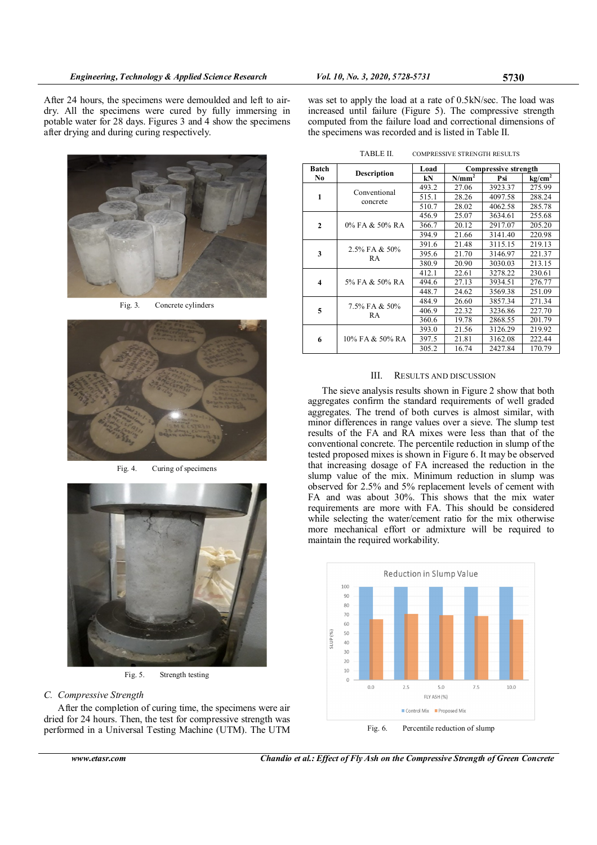After 24 hours, the specimens were demoulded and left to airdry. All the specimens were cured by fully immersing in potable water for 28 days. Figures 3 and 4 show the specimens after drying and during curing respectively.



Fig. 3. Concrete cylinders



Fig. 4. Curing of specimens



Fig. 5. Strength testing

# C. Compressive Strength

After the completion of curing time, the specimens were air dried for 24 hours. Then, the test for compressive strength was performed in a Universal Testing Machine (UTM). The UTM

| was set to apply the load at a rate of 0.5kN/sec. The load was |
|----------------------------------------------------------------|
| increased until failure (Figure 5). The compressive strength   |
| computed from the failure load and correctional dimensions of  |
| the specimens was recorded and is listed in Table II.          |

TABLE II. COMPRESSIVE STRENGTH RESULTS

| <b>Batch</b>            | <b>Description</b>       | Load<br><b>Compressive strength</b> |          |         |           |
|-------------------------|--------------------------|-------------------------------------|----------|---------|-----------|
| No                      |                          | kN                                  | $N/mm^2$ | Psi     | $kg/cm^2$ |
| 1                       | Conventional<br>concrete | 493.2                               | 27.06    | 3923.37 | 275.99    |
|                         |                          | 515.1                               | 28.26    | 4097.58 | 288.24    |
|                         |                          | 510.7                               | 28.02    | 4062.58 | 285.78    |
|                         |                          | 456.9                               | 25.07    | 3634.61 | 255.68    |
| $\mathbf{2}$            | $0\%$ FA & 50% RA        | 366.7                               | 20.12    | 2917.07 | 205.20    |
|                         |                          | 394.9                               | 21.66    | 3141.40 | 220.98    |
|                         | 2.5% FA & 50%<br>RA      | 391.6                               | 21.48    | 3115.15 | 219.13    |
| 3                       |                          | 395.6                               | 21.70    | 3146.97 | 221.37    |
|                         |                          | 380.9                               | 20.90    | 3030.03 | 213.15    |
|                         |                          | 412.1                               | 22.61    | 3278.22 | 230.61    |
| $\overline{\mathbf{4}}$ | 5% FA & 50% RA           | 494.6                               | 27.13    | 3934.51 | 276.77    |
|                         |                          | 448.7                               | 24.62    | 3569.38 | 251.09    |
|                         | 7.5% FA & 50%<br>RA      | 484.9                               | 26.60    | 3857.34 | 271.34    |
| 5                       |                          | 406.9                               | 22.32    | 3236.86 | 227.70    |
|                         |                          | 360.6                               | 19.78    | 2868.55 | 201.79    |
| 6                       | 10% FA & 50% RA          | 393.0                               | 21.56    | 3126.29 | 219.92    |
|                         |                          | 397.5                               | 21.81    | 3162.08 | 222.44    |
|                         |                          | 305.2                               | 16.74    | 2427.84 | 170.79    |

## III. RESULTS AND DISCUSSION

The sieve analysis results shown in Figure 2 show that both aggregates confirm the standard requirements of well graded aggregates. The trend of both curves is almost similar, with minor differences in range values over a sieve. The slump test results of the FA and RA mixes were less than that of the conventional concrete. The percentile reduction in slump of the tested proposed mixes is shown in Figure 6. It may be observed that increasing dosage of FA increased the reduction in the slump value of the mix. Minimum reduction in slump was observed for 2.5% and 5% replacement levels of cement with FA and was about 30%. This shows that the mix water requirements are more with FA. This should be considered while selecting the water/cement ratio for the mix otherwise more mechanical effort or admixture will be required to maintain the required workability.